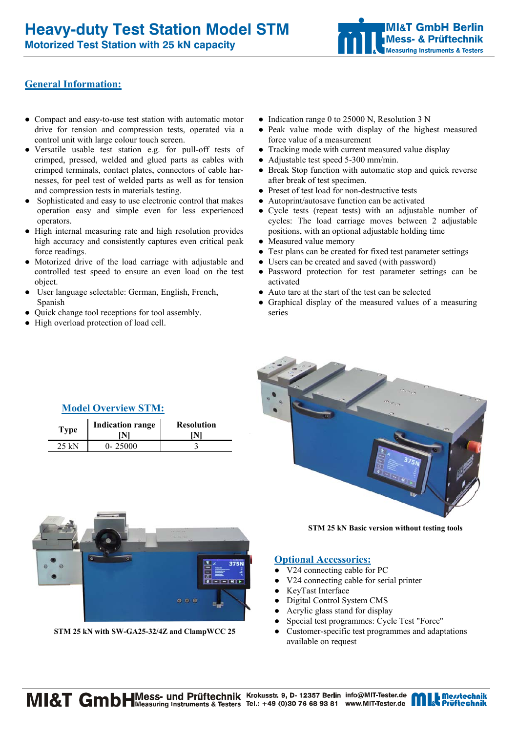**Motorized Test Station with 25 kN capacity** 



## **General Information:**

- Compact and easy-to-use test station with automatic motor drive for tension and compression tests, operated via a control unit with large colour touch screen.
- Versatile usable test station e.g. for pull-off tests of crimped, pressed, welded and glued parts as cables with crimped terminals, contact plates, connectors of cable harnesses, for peel test of welded parts as well as for tension and compression tests in materials testing.
- Sophisticated and easy to use electronic control that makes operation easy and simple even for less experienced operators.
- High internal measuring rate and high resolution provides high accuracy and consistently captures even critical peak force readings.
- Motorized drive of the load carriage with adjustable and controlled test speed to ensure an even load on the test object.
- User language selectable: German, English, French, Spanish
- Quick change tool receptions for tool assembly.
- High overload protection of load cell.
- Indication range 0 to 25000 N, Resolution 3 N
- Peak value mode with display of the highest measured force value of a measurement
- Tracking mode with current measured value display
- Adjustable test speed 5-300 mm/min.
- Break Stop function with automatic stop and quick reverse after break of test specimen.
- Preset of test load for non-destructive tests
- Autoprint/autosave function can be activated
- Cycle tests (repeat tests) with an adjustable number of cycles: The load carriage moves between 2 adjustable positions, with an optional adjustable holding time
- Measured value memory
- Test plans can be created for fixed test parameter settings
- Users can be created and saved (with password)
- Password protection for test parameter settings can be activated
- Auto tare at the start of the test can be selected
- Graphical display of the measured values of a measuring series



### **Model Overview STM:**

| <b>Type</b> | <b>Indication range</b> | <b>Resolution</b> |
|-------------|-------------------------|-------------------|
| $25$ kN     | $0 - 25000$             |                   |



**STM 25 kN with SW-GA25-32/4Z and ClampWCC 25** 

**STM 25 kN Basic version without testing tools** 

#### **Optional Accessories:**

- V24 connecting cable for PC
- V24 connecting cable for serial printer
- KeyTast Interface
- Digital Control System CMS
- Acrylic glass stand for display
- Special test programmes: Cycle Test "Force"
- Customer-specific test programmes and adaptations available on request

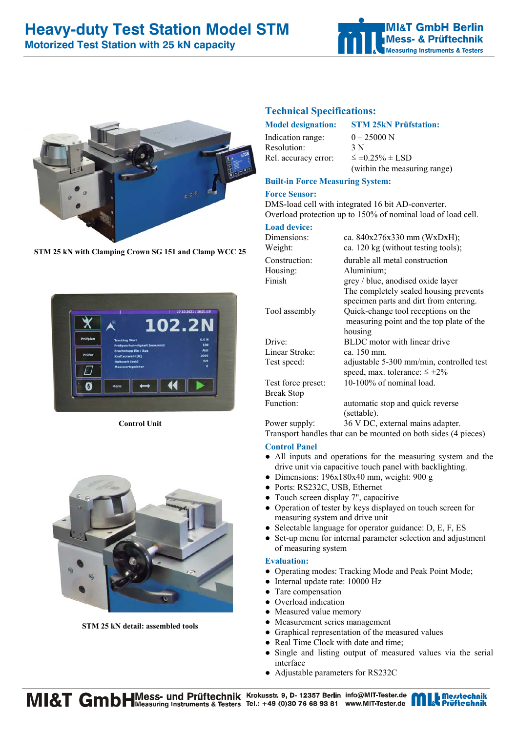# **Heavy-duty Test Station Model STM**

**Motorized Test Station with 25 kN capacity** 





**STM 25 kN with Clamping Crown SG 151 and Clamp WCC 25** 



**Control Unit**



**STM 25 kN detail: assembled tools**

## **Technical Specifications:**

Indication range:  $0 - 25000 \text{ N}$ Resolution: 3 N Rel. accuracy error:  $\leq \pm 0.25\% \pm$  LSD

#### **Model designation: STM 25kN Prüfstation:**

(within the measuring range)

### **Built-in Force Measuring System:**

#### **Force Sensor:**

DMS-load cell with integrated 16 bit AD-converter. Overload protection up to 150% of nominal load of load cell.

#### **Load device:**

| Dimensions:              | ca. 840x276x330 mm (WxDxH);              |  |
|--------------------------|------------------------------------------|--|
| Weight:                  | ca. 120 kg (without testing tools);      |  |
| Construction:            | durable all metal construction           |  |
| Housing:                 | Aluminium;                               |  |
| Finish                   | grey / blue, anodised oxide layer        |  |
|                          | The completely sealed housing prevents   |  |
|                          | specimen parts and dirt from entering.   |  |
| Tool assembly            | Quick-change tool receptions on the      |  |
|                          | measuring point and the top plate of the |  |
|                          | housing                                  |  |
| Drive:                   | BLDC motor with linear drive             |  |
| Linear Stroke:           | ca. 150 mm.                              |  |
| Test speed:              | adjustable 5-300 mm/min, controlled test |  |
|                          | speed, max. tolerance: $\leq \pm 2\%$    |  |
| Test force preset:       | 10-100% of nominal load.                 |  |
| <b>Break Stop</b>        |                                          |  |
| Function:                | automatic stop and quick reverse         |  |
|                          | (settable).                              |  |
| Power supply:            | 36 V DC, external mains adapter.         |  |
| $\overline{\phantom{a}}$ |                                          |  |

Transport handles that can be mounted on both sides (4 pieces)

#### **Control Panel**

- All inputs and operations for the measuring system and the drive unit via capacitive touch panel with backlighting.
- Dimensions: 196x180x40 mm, weight: 900 g
- Ports: RS232C, USB, Ethernet
- Touch screen display 7", capacitive
- Operation of tester by keys displayed on touch screen for measuring system and drive unit
- Selectable language for operator guidance: D, E, F, ES
- Set-up menu for internal parameter selection and adjustment of measuring system

#### **Evaluation:**

- Operating modes: Tracking Mode and Peak Point Mode;
- Internal update rate: 10000 Hz
- Tare compensation
- Overload indication
- Measured value memory
- Measurement series management
- Graphical representation of the measured values
- Real Time Clock with date and time;
- Single and listing output of measured values via the serial interface
- Adjustable parameters for RS232C